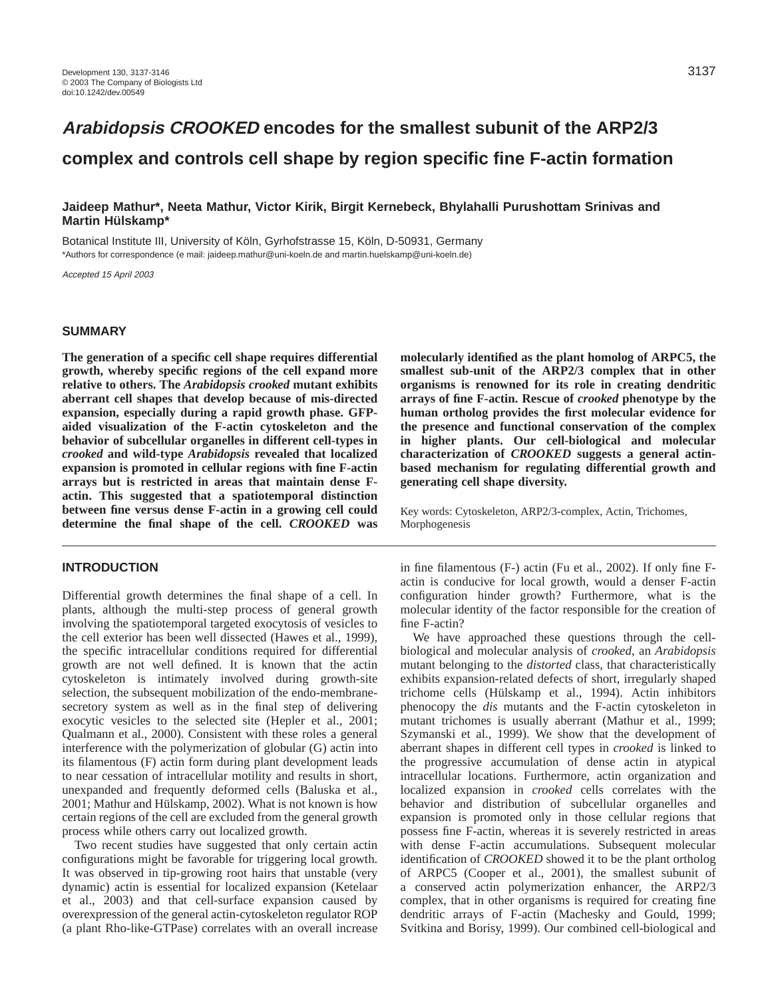# **Arabidopsis CROOKED encodes for the smallest subunit of the ARP2/3 complex and controls cell shape by region specific fine F-actin formation**

# **Jaideep Mathur\*, Neeta Mathur, Victor Kirik, Birgit Kernebeck, Bhylahalli Purushottam Srinivas and Martin Hülskamp\***

Botanical Institute III, University of Köln, Gyrhofstrasse 15, Köln, D-50931, Germany \*Authors for correspondence (e mail: jaideep.mathur@uni-koeln.de and martin.huelskamp@uni-koeln.de)

Accepted 15 April 2003

### **SUMMARY**

**The generation of a specific cell shape requires differential growth, whereby specific regions of the cell expand more relative to others. The** *Arabidopsis crooked* **mutant exhibits aberrant cell shapes that develop because of mis-directed expansion, especially during a rapid growth phase. GFPaided visualization of the F-actin cytoskeleton and the behavior of subcellular organelles in different cell-types in** *crooked* **and wild-type** *Arabidopsis* **revealed that localized expansion is promoted in cellular regions with fine F-actin arrays but is restricted in areas that maintain dense Factin. This suggested that a spatiotemporal distinction between fine versus dense F-actin in a growing cell could determine the final shape of the cell.** *CROOKED* **was**

# **INTRODUCTION**

Differential growth determines the final shape of a cell. In plants, although the multi-step process of general growth involving the spatiotemporal targeted exocytosis of vesicles to the cell exterior has been well dissected (Hawes et al., 1999), the specific intracellular conditions required for differential growth are not well defined. It is known that the actin cytoskeleton is intimately involved during growth-site selection, the subsequent mobilization of the endo-membranesecretory system as well as in the final step of delivering exocytic vesicles to the selected site (Hepler et al., 2001; Qualmann et al., 2000). Consistent with these roles a general interference with the polymerization of globular (G) actin into its filamentous (F) actin form during plant development leads to near cessation of intracellular motility and results in short, unexpanded and frequently deformed cells (Baluska et al., 2001; Mathur and Hülskamp, 2002). What is not known is how certain regions of the cell are excluded from the general growth process while others carry out localized growth.

Two recent studies have suggested that only certain actin configurations might be favorable for triggering local growth. It was observed in tip-growing root hairs that unstable (very dynamic) actin is essential for localized expansion (Ketelaar et al., 2003) and that cell-surface expansion caused by overexpression of the general actin-cytoskeleton regulator ROP (a plant Rho-like-GTPase) correlates with an overall increase

**molecularly identified as the plant homolog of ARPC5, the smallest sub-unit of the ARP2/3 complex that in other organisms is renowned for its role in creating dendritic arrays of fine F-actin. Rescue of** *crooked* **phenotype by the human ortholog provides the first molecular evidence for the presence and functional conservation of the complex in higher plants. Our cell-biological and molecular characterization of** *CROOKED* **suggests a general actinbased mechanism for regulating differential growth and generating cell shape diversity.**

Key words: Cytoskeleton, ARP2/3-complex, Actin, Trichomes, **Morphogenesis** 

in fine filamentous (F-) actin (Fu et al., 2002). If only fine Factin is conducive for local growth, would a denser F-actin configuration hinder growth? Furthermore, what is the molecular identity of the factor responsible for the creation of fine F-actin?

We have approached these questions through the cellbiological and molecular analysis of *crooked*, an *Arabidopsis* mutant belonging to the *distorted* class, that characteristically exhibits expansion-related defects of short, irregularly shaped trichome cells (Hülskamp et al., 1994). Actin inhibitors phenocopy the *dis* mutants and the F-actin cytoskeleton in mutant trichomes is usually aberrant (Mathur et al., 1999; Szymanski et al., 1999). We show that the development of aberrant shapes in different cell types in *crooked* is linked to the progressive accumulation of dense actin in atypical intracellular locations. Furthermore, actin organization and localized expansion in *crooked* cells correlates with the behavior and distribution of subcellular organelles and expansion is promoted only in those cellular regions that possess fine F-actin, whereas it is severely restricted in areas with dense F-actin accumulations. Subsequent molecular identification of *CROOKED* showed it to be the plant ortholog of ARPC5 (Cooper et al., 2001), the smallest subunit of a conserved actin polymerization enhancer, the ARP2/3 complex, that in other organisms is required for creating fine dendritic arrays of F-actin (Machesky and Gould, 1999; Svitkina and Borisy, 1999). Our combined cell-biological and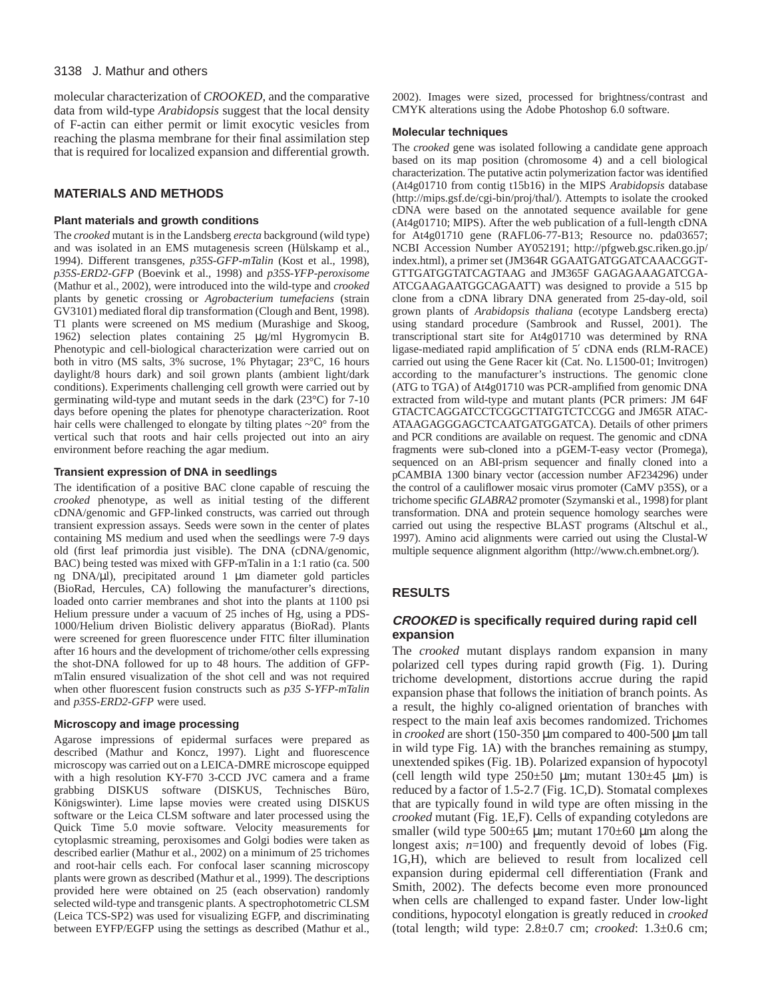molecular characterization of *CROOKED*, and the comparative data from wild-type *Arabidopsis* suggest that the local density of F-actin can either permit or limit exocytic vesicles from reaching the plasma membrane for their final assimilation step that is required for localized expansion and differential growth.

# **MATERIALS AND METHODS**

#### **Plant materials and growth conditions**

The *crooked* mutant is in the Landsberg *erecta* background (wild type) and was isolated in an EMS mutagenesis screen (Hülskamp et al., 1994). Different transgenes, *p35S-GFP-mTalin* (Kost et al., 1998), *p35S-ERD2-GFP* (Boevink et al., 1998) and *p35S-YFP-peroxisome* (Mathur et al., 2002), were introduced into the wild-type and *crooked* plants by genetic crossing or *Agrobacterium tumefaciens* (strain GV3101) mediated floral dip transformation (Clough and Bent, 1998). T1 plants were screened on MS medium (Murashige and Skoog, 1962) selection plates containing 25 µg/ml Hygromycin B. Phenotypic and cell-biological characterization were carried out on both in vitro (MS salts, 3% sucrose, 1% Phytagar; 23°C, 16 hours daylight/8 hours dark) and soil grown plants (ambient light/dark conditions). Experiments challenging cell growth were carried out by germinating wild-type and mutant seeds in the dark (23°C) for 7-10 days before opening the plates for phenotype characterization. Root hair cells were challenged to elongate by tilting plates  $\sim$ 20 $\degree$  from the vertical such that roots and hair cells projected out into an airy environment before reaching the agar medium.

#### **Transient expression of DNA in seedlings**

The identification of a positive BAC clone capable of rescuing the *crooked* phenotype, as well as initial testing of the different cDNA/genomic and GFP-linked constructs, was carried out through transient expression assays. Seeds were sown in the center of plates containing MS medium and used when the seedlings were 7-9 days old (first leaf primordia just visible). The DNA (cDNA/genomic, BAC) being tested was mixed with GFP-mTalin in a 1:1 ratio (ca. 500 ng DNA/µl), precipitated around 1 µm diameter gold particles (BioRad, Hercules, CA) following the manufacturer's directions, loaded onto carrier membranes and shot into the plants at 1100 psi Helium pressure under a vacuum of 25 inches of Hg, using a PDS-1000/Helium driven Biolistic delivery apparatus (BioRad). Plants were screened for green fluorescence under FITC filter illumination after 16 hours and the development of trichome/other cells expressing the shot-DNA followed for up to 48 hours. The addition of GFPmTalin ensured visualization of the shot cell and was not required when other fluorescent fusion constructs such as *p35 S-YFP-mTalin* and *p35S-ERD2-GFP* were used.

#### **Microscopy and image processing**

Agarose impressions of epidermal surfaces were prepared as described (Mathur and Koncz, 1997). Light and fluorescence microscopy was carried out on a LEICA-DMRE microscope equipped with a high resolution KY-F70 3-CCD JVC camera and a frame grabbing DISKUS software (DISKUS, Technisches Büro, Königswinter). Lime lapse movies were created using DISKUS software or the Leica CLSM software and later processed using the Quick Time 5.0 movie software. Velocity measurements for cytoplasmic streaming, peroxisomes and Golgi bodies were taken as described earlier (Mathur et al., 2002) on a minimum of 25 trichomes and root-hair cells each. For confocal laser scanning microscopy plants were grown as described (Mathur et al., 1999). The descriptions provided here were obtained on 25 (each observation) randomly selected wild-type and transgenic plants. A spectrophotometric CLSM (Leica TCS-SP2) was used for visualizing EGFP, and discriminating between EYFP/EGFP using the settings as described (Mathur et al., 2002). Images were sized, processed for brightness/contrast and CMYK alterations using the Adobe Photoshop 6.0 software.

#### **Molecular techniques**

The *crooked* gene was isolated following a candidate gene approach based on its map position (chromosome 4) and a cell biological characterization. The putative actin polymerization factor was identified (At4g01710 from contig t15b16) in the MIPS *Arabidopsis* database (http://mips.gsf.de/cgi-bin/proj/thal/). Attempts to isolate the crooked cDNA were based on the annotated sequence available for gene (At4g01710; MIPS). After the web publication of a full-length cDNA for At4g01710 gene (RAFL06-77-B13; Resource no. pda03657; NCBI Accession Number AY052191; http://pfgweb.gsc.riken.go.jp/ index.html), a primer set (JM364R GGAATGATGGATCAAACGGT-GTTGATGGTATCAGTAAG and JM365F GAGAGAAAGATCGA-ATCGAAGAATGGCAGAATT) was designed to provide a 515 bp clone from a cDNA library DNA generated from 25-day-old, soil grown plants of *Arabidopsis thaliana* (ecotype Landsberg erecta) using standard procedure (Sambrook and Russel, 2001). The transcriptional start site for At4g01710 was determined by RNA ligase-mediated rapid amplification of 5′ cDNA ends (RLM-RACE) carried out using the Gene Racer kit (Cat. No. L1500-01; Invitrogen) according to the manufacturer's instructions. The genomic clone (ATG to TGA) of At4g01710 was PCR-amplified from genomic DNA extracted from wild-type and mutant plants (PCR primers: JM 64F GTACTCAGGATCCTCGGCTTATGTCTCCGG and JM65R ATAC-ATAAGAGGGAGCTCAATGATGGATCA). Details of other primers and PCR conditions are available on request. The genomic and cDNA fragments were sub-cloned into a pGEM-T-easy vector (Promega), sequenced on an ABI-prism sequencer and finally cloned into a pCAMBIA 1300 binary vector (accession number AF234296) under the control of a cauliflower mosaic virus promoter (CaMV p35S), or a trichome specific *GLABRA2* promoter (Szymanski et al., 1998) for plant transformation. DNA and protein sequence homology searches were carried out using the respective BLAST programs (Altschul et al., 1997). Amino acid alignments were carried out using the Clustal-W multiple sequence alignment algorithm (http://www.ch.embnet.org/).

# **RESULTS**

# **CROOKED is specifically required during rapid cell expansion**

The *crooked* mutant displays random expansion in many polarized cell types during rapid growth (Fig. 1). During trichome development, distortions accrue during the rapid expansion phase that follows the initiation of branch points. As a result, the highly co-aligned orientation of branches with respect to the main leaf axis becomes randomized. Trichomes in *crooked* are short (150-350 µm compared to 400-500 µm tall in wild type Fig. 1A) with the branches remaining as stumpy, unextended spikes (Fig. 1B). Polarized expansion of hypocotyl (cell length wild type  $250\pm50$  µm; mutant  $130\pm45$  µm) is reduced by a factor of 1.5-2.7 (Fig. 1C,D). Stomatal complexes that are typically found in wild type are often missing in the *crooked* mutant (Fig. 1E,F). Cells of expanding cotyledons are smaller (wild type  $500\pm65$  µm; mutant  $170\pm60$  µm along the longest axis;  $n=100$ ) and frequently devoid of lobes (Fig. 1G,H), which are believed to result from localized cell expansion during epidermal cell differentiation (Frank and Smith, 2002). The defects become even more pronounced when cells are challenged to expand faster. Under low-light conditions, hypocotyl elongation is greatly reduced in *crooked* (total length; wild type: 2.8±0.7 cm; *crooked*: 1.3±0.6 cm;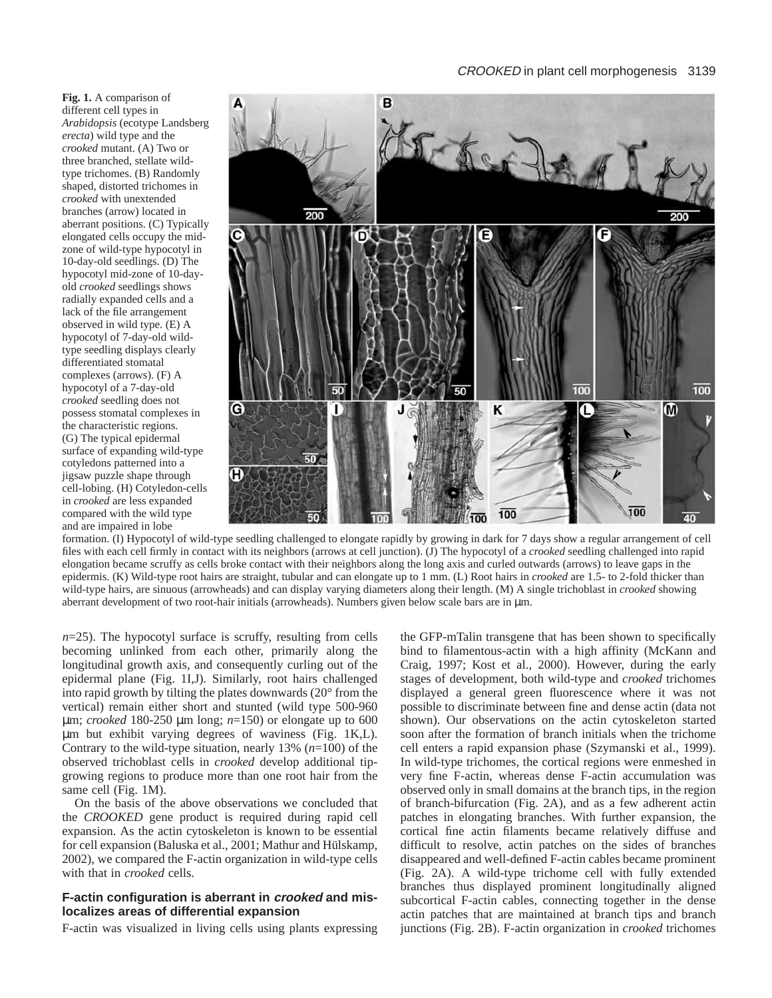#### CROOKED in plant cell morphogenesis 3139

**Fig. 1.** A comparison of different cell types in *Arabidopsis* (ecotype Landsberg *erecta*) wild type and the *crooked* mutant. (A) Two or three branched, stellate wildtype trichomes. (B) Randomly shaped, distorted trichomes in *crooked* with unextended branches (arrow) located in aberrant positions. (C) Typically elongated cells occupy the midzone of wild-type hypocotyl in 10-day-old seedlings. (D) The hypocotyl mid-zone of 10-dayold *crooked* seedlings shows radially expanded cells and a lack of the file arrangement observed in wild type. (E) A hypocotyl of 7-day-old wildtype seedling displays clearly differentiated stomatal complexes (arrows). (F) A hypocotyl of a 7-day-old *crooked* seedling does not possess stomatal complexes in the characteristic regions. (G) The typical epidermal surface of expanding wild-type cotyledons patterned into a jigsaw puzzle shape through cell-lobing. (H) Cotyledon-cells in *crooked* are less expanded compared with the wild type and are impaired in lobe



formation. (I) Hypocotyl of wild-type seedling challenged to elongate rapidly by growing in dark for 7 days show a regular arrangement of cell files with each cell firmly in contact with its neighbors (arrows at cell junction). (J) The hypocotyl of a *crooked* seedling challenged into rapid elongation became scruffy as cells broke contact with their neighbors along the long axis and curled outwards (arrows) to leave gaps in the epidermis. (K) Wild-type root hairs are straight, tubular and can elongate up to 1 mm. (L) Root hairs in *crooked* are 1.5- to 2-fold thicker than wild-type hairs, are sinuous (arrowheads) and can display varying diameters along their length. (M) A single trichoblast in *crooked* showing aberrant development of two root-hair initials (arrowheads). Numbers given below scale bars are in µm.

*n*=25). The hypocotyl surface is scruffy, resulting from cells becoming unlinked from each other, primarily along the longitudinal growth axis, and consequently curling out of the epidermal plane (Fig. 1I,J). Similarly, root hairs challenged into rapid growth by tilting the plates downwards (20° from the vertical) remain either short and stunted (wild type 500-960 µm; *crooked* 180-250 µm long; *n*=150) or elongate up to 600 µm but exhibit varying degrees of waviness (Fig. 1K,L). Contrary to the wild-type situation, nearly 13% (*n*=100) of the observed trichoblast cells in *crooked* develop additional tipgrowing regions to produce more than one root hair from the same cell (Fig. 1M).

On the basis of the above observations we concluded that the *CROOKED* gene product is required during rapid cell expansion. As the actin cytoskeleton is known to be essential for cell expansion (Baluska et al., 2001; Mathur and Hülskamp, 2002), we compared the F-actin organization in wild-type cells with that in *crooked* cells.

#### **F-actin configuration is aberrant in crooked and mislocalizes areas of differential expansion**

F-actin was visualized in living cells using plants expressing

the GFP-mTalin transgene that has been shown to specifically bind to filamentous-actin with a high affinity (McKann and Craig, 1997; Kost et al., 2000). However, during the early stages of development, both wild-type and *crooked* trichomes displayed a general green fluorescence where it was not possible to discriminate between fine and dense actin (data not shown). Our observations on the actin cytoskeleton started soon after the formation of branch initials when the trichome cell enters a rapid expansion phase (Szymanski et al., 1999). In wild-type trichomes, the cortical regions were enmeshed in very fine F-actin, whereas dense F-actin accumulation was observed only in small domains at the branch tips, in the region of branch-bifurcation (Fig. 2A), and as a few adherent actin patches in elongating branches. With further expansion, the cortical fine actin filaments became relatively diffuse and difficult to resolve, actin patches on the sides of branches disappeared and well-defined F-actin cables became prominent (Fig. 2A). A wild-type trichome cell with fully extended branches thus displayed prominent longitudinally aligned subcortical F-actin cables, connecting together in the dense actin patches that are maintained at branch tips and branch junctions (Fig. 2B). F-actin organization in *crooked* trichomes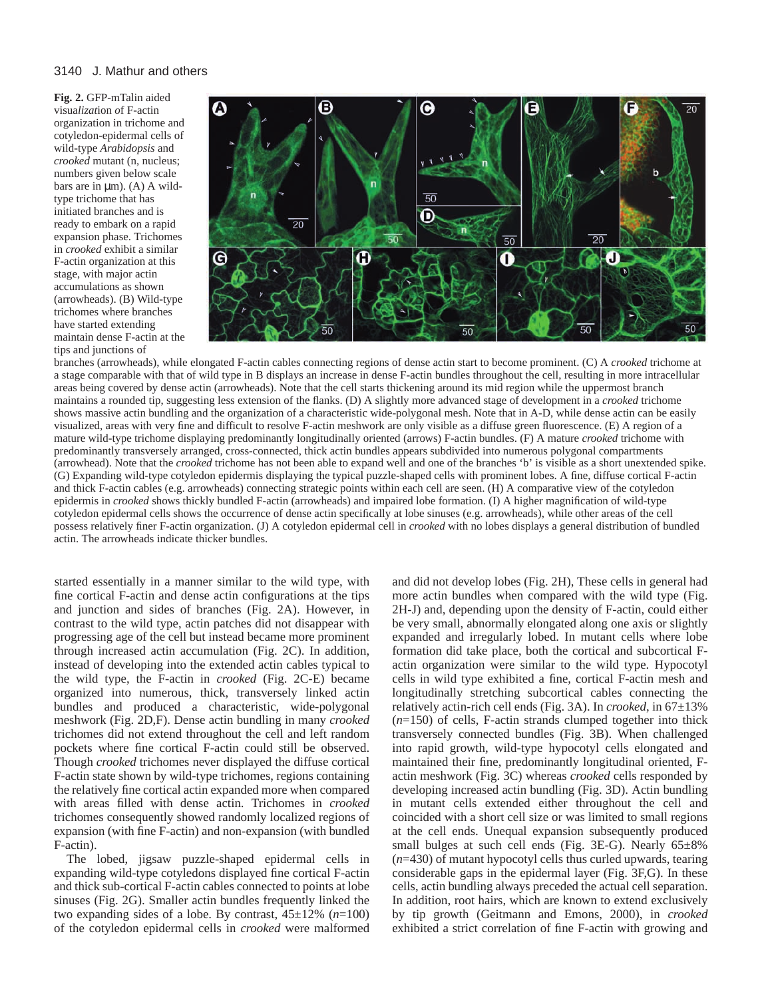**Fig. 2.** GFP-mTalin aided visua*lizat*ion *o*f F-actin organization in trichome and cotyledon-epidermal cells of wild-type *Arabidopsis* and *crooked* mutant (n, nucleus; numbers given below scale bars are in  $\mu$ m). (A) A wildtype trichome that has initiated branches and is ready to embark on a rapid expansion phase. Trichomes in *crooked* exhibit a similar F-actin organization at this stage, with major actin accumulations as shown (arrowheads). (B) Wild-type trichomes where branches have started extending maintain dense F-actin at the tips and junctions of



branches (arrowheads), while elongated F-actin cables connecting regions of dense actin start to become prominent. (C) A *crooked* trichome at a stage comparable with that of wild type in B displays an increase in dense F-actin bundles throughout the cell, resulting in more intracellular areas being covered by dense actin (arrowheads). Note that the cell starts thickening around its mid region while the uppermost branch maintains a rounded tip, suggesting less extension of the flanks. (D) A slightly more advanced stage of development in a *crooked* trichome shows massive actin bundling and the organization of a characteristic wide-polygonal mesh. Note that in A-D, while dense actin can be easily visualized, areas with very fine and difficult to resolve F-actin meshwork are only visible as a diffuse green fluorescence. (E) A region of a mature wild-type trichome displaying predominantly longitudinally oriented (arrows) F-actin bundles. (F) A mature *crooked* trichome with predominantly transversely arranged, cross-connected, thick actin bundles appears subdivided into numerous polygonal compartments (arrowhead). Note that the *crooked* trichome has not been able to expand well and one of the branches 'b' is visible as a short unextended spike. (G) Expanding wild-type cotyledon epidermis displaying the typical puzzle-shaped cells with prominent lobes. A fine, diffuse cortical F-actin and thick F-actin cables (e.g. arrowheads) connecting strategic points within each cell are seen. (H) A comparative view of the cotyledon epidermis in *crooked* shows thickly bundled F-actin (arrowheads) and impaired lobe formation. (I) A higher magnification of wild-type cotyledon epidermal cells shows the occurrence of dense actin specifically at lobe sinuses (e.g. arrowheads), while other areas of the cell possess relatively finer F-actin organization. (J) A cotyledon epidermal cell in *crooked* with no lobes displays a general distribution of bundled actin. The arrowheads indicate thicker bundles.

started essentially in a manner similar to the wild type, with fine cortical F-actin and dense actin configurations at the tips and junction and sides of branches (Fig. 2A). However, in contrast to the wild type, actin patches did not disappear with progressing age of the cell but instead became more prominent through increased actin accumulation (Fig. 2C). In addition, instead of developing into the extended actin cables typical to the wild type, the F-actin in *crooked* (Fig. 2C-E) became organized into numerous, thick, transversely linked actin bundles and produced a characteristic, wide-polygonal meshwork (Fig. 2D,F). Dense actin bundling in many *crooked* trichomes did not extend throughout the cell and left random pockets where fine cortical F-actin could still be observed. Though *crooked* trichomes never displayed the diffuse cortical F-actin state shown by wild-type trichomes, regions containing the relatively fine cortical actin expanded more when compared with areas filled with dense actin. Trichomes in *crooked* trichomes consequently showed randomly localized regions of expansion (with fine F-actin) and non-expansion (with bundled F-actin).

The lobed, jigsaw puzzle-shaped epidermal cells in expanding wild-type cotyledons displayed fine cortical F-actin and thick sub-cortical F-actin cables connected to points at lobe sinuses (Fig. 2G). Smaller actin bundles frequently linked the two expanding sides of a lobe. By contrast, 45±12% (*n*=100) of the cotyledon epidermal cells in *crooked* were malformed

and did not develop lobes (Fig. 2H), These cells in general had more actin bundles when compared with the wild type (Fig. 2H-J) and, depending upon the density of F-actin, could either be very small, abnormally elongated along one axis or slightly expanded and irregularly lobed. In mutant cells where lobe formation did take place, both the cortical and subcortical Factin organization were similar to the wild type. Hypocotyl cells in wild type exhibited a fine, cortical F-actin mesh and longitudinally stretching subcortical cables connecting the relatively actin-rich cell ends (Fig. 3A). In *crooked*, in 67±13% (*n*=150) of cells, F-actin strands clumped together into thick transversely connected bundles (Fig. 3B). When challenged into rapid growth, wild-type hypocotyl cells elongated and maintained their fine, predominantly longitudinal oriented, Factin meshwork (Fig. 3C) whereas *crooked* cells responded by developing increased actin bundling (Fig. 3D). Actin bundling in mutant cells extended either throughout the cell and coincided with a short cell size or was limited to small regions at the cell ends. Unequal expansion subsequently produced small bulges at such cell ends (Fig. 3E-G). Nearly  $65\pm8\%$ (*n*=430) of mutant hypocotyl cells thus curled upwards, tearing considerable gaps in the epidermal layer (Fig. 3F,G). In these cells, actin bundling always preceded the actual cell separation. In addition, root hairs, which are known to extend exclusively by tip growth (Geitmann and Emons, 2000), in *crooked* exhibited a strict correlation of fine F-actin with growing and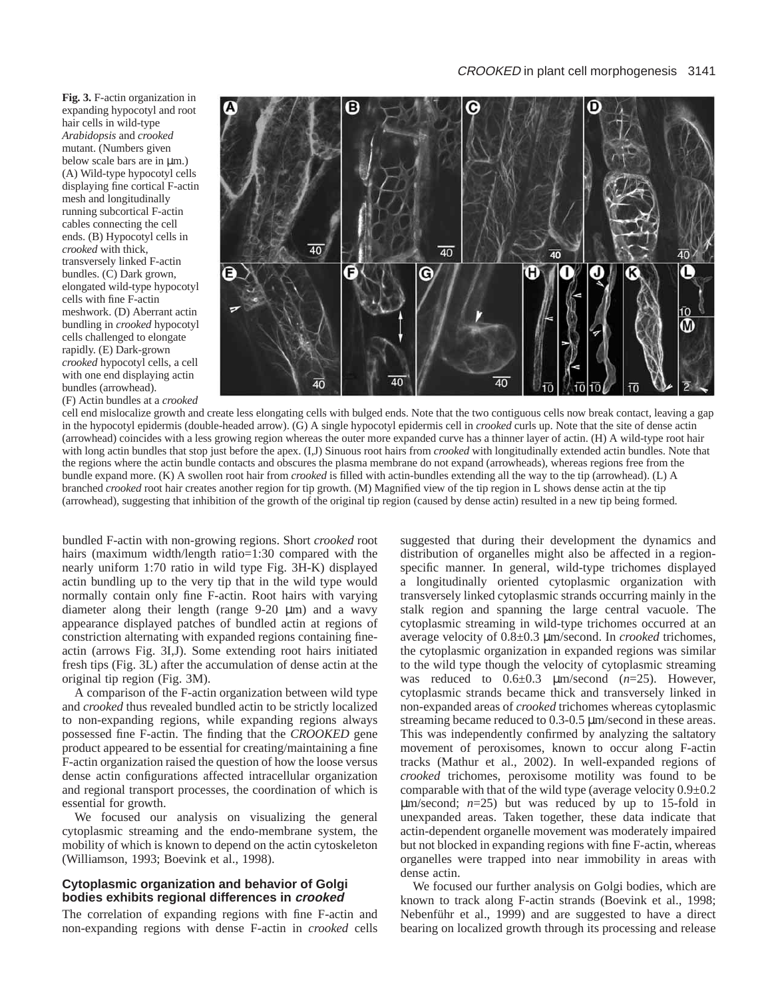**Fig. 3.** F-actin organization in expanding hypocotyl and root hair cells in wild-type *Arabidopsis* and *crooked* mutant. (Numbers given below scale bars are in µm.) (A) Wild-type hypocotyl cells displaying fine cortical F-actin mesh and longitudinally running subcortical F-actin cables connecting the cell ends. (B) Hypocotyl cells in *crooked* with thick, transversely linked F-actin bundles. (C) Dark grown, elongated wild-type hypocotyl cells with fine F-actin meshwork. (D) Aberrant actin bundling in *crooked* hypocotyl cells challenged to elongate rapidly. (E) Dark-grown *crooked* hypocotyl cells, a cell with one end displaying actin bundles (arrowhead).

(F) Actin bundles at a *crooked*



cell end mislocalize growth and create less elongating cells with bulged ends. Note that the two contiguous cells now break contact, leaving a gap in the hypocotyl epidermis (double-headed arrow). (G) A single hypocotyl epidermis cell in *crooked* curls up. Note that the site of dense actin (arrowhead) coincides with a less growing region whereas the outer more expanded curve has a thinner layer of actin. (H) A wild-type root hair with long actin bundles that stop just before the apex. (I,J) Sinuous root hairs from *crooked* with longitudinally extended actin bundles. Note that the regions where the actin bundle contacts and obscures the plasma membrane do not expand (arrowheads), whereas regions free from the bundle expand more. (K) A swollen root hair from *crooked* is filled with actin-bundles extending all the way to the tip (arrowhead). (L) A branched *crooked* root hair creates another region for tip growth. (M) Magnified view of the tip region in L shows dense actin at the tip (arrowhead), suggesting that inhibition of the growth of the original tip region (caused by dense actin) resulted in a new tip being formed.

bundled F-actin with non-growing regions. Short *crooked* root hairs (maximum width/length ratio=1:30 compared with the nearly uniform 1:70 ratio in wild type Fig. 3H-K) displayed actin bundling up to the very tip that in the wild type would normally contain only fine F-actin. Root hairs with varying diameter along their length (range 9-20 µm) and a wavy appearance displayed patches of bundled actin at regions of constriction alternating with expanded regions containing fineactin (arrows Fig. 3I,J). Some extending root hairs initiated fresh tips (Fig. 3L) after the accumulation of dense actin at the original tip region (Fig. 3M).

A comparison of the F-actin organization between wild type and *crooked* thus revealed bundled actin to be strictly localized to non-expanding regions, while expanding regions always possessed fine F-actin. The finding that the *CROOKED* gene product appeared to be essential for creating/maintaining a fine F-actin organization raised the question of how the loose versus dense actin configurations affected intracellular organization and regional transport processes, the coordination of which is essential for growth.

We focused our analysis on visualizing the general cytoplasmic streaming and the endo-membrane system, the mobility of which is known to depend on the actin cytoskeleton (Williamson, 1993; Boevink et al., 1998).

# **Cytoplasmic organization and behavior of Golgi bodies exhibits regional differences in crooked**

The correlation of expanding regions with fine F-actin and non-expanding regions with dense F-actin in *crooked* cells

suggested that during their development the dynamics and distribution of organelles might also be affected in a regionspecific manner. In general, wild-type trichomes displayed a longitudinally oriented cytoplasmic organization with transversely linked cytoplasmic strands occurring mainly in the stalk region and spanning the large central vacuole. The cytoplasmic streaming in wild-type trichomes occurred at an average velocity of 0.8±0.3 µm/second. In *crooked* trichomes, the cytoplasmic organization in expanded regions was similar to the wild type though the velocity of cytoplasmic streaming was reduced to 0.6±0.3 µm/second (*n*=25). However, cytoplasmic strands became thick and transversely linked in non-expanded areas of *crooked* trichomes whereas cytoplasmic streaming became reduced to 0.3-0.5  $\mu$ m/second in these areas. This was independently confirmed by analyzing the saltatory movement of peroxisomes, known to occur along F-actin tracks (Mathur et al., 2002). In well-expanded regions of *crooked* trichomes, peroxisome motility was found to be comparable with that of the wild type (average velocity 0.9±0.2 µm/second; *n*=25) but was reduced by up to 15-fold in unexpanded areas. Taken together, these data indicate that actin-dependent organelle movement was moderately impaired but not blocked in expanding regions with fine F-actin, whereas organelles were trapped into near immobility in areas with dense actin.

We focused our further analysis on Golgi bodies, which are known to track along F-actin strands (Boevink et al., 1998; Nebenführ et al., 1999) and are suggested to have a direct bearing on localized growth through its processing and release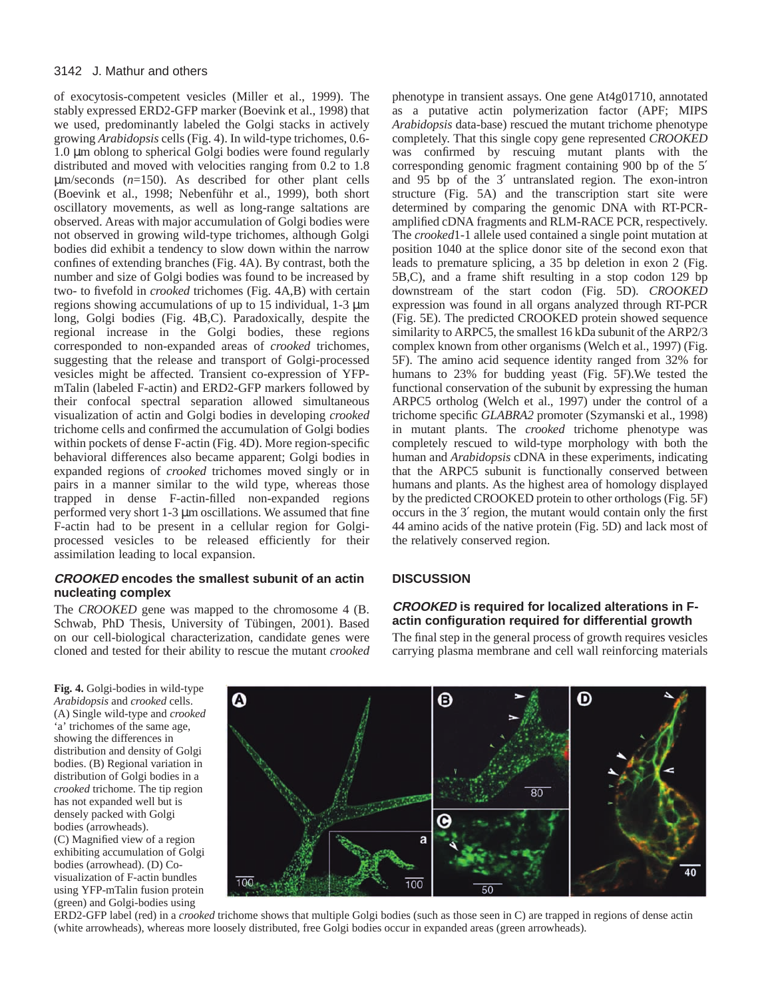of exocytosis-competent vesicles (Miller et al., 1999). The stably expressed ERD2-GFP marker (Boevink et al., 1998) that we used, predominantly labeled the Golgi stacks in actively growing *Arabidopsis* cells (Fig. 4). In wild-type trichomes, 0.6- 1.0 µm oblong to spherical Golgi bodies were found regularly distributed and moved with velocities ranging from 0.2 to 1.8 µm/seconds (*n*=150). As described for other plant cells (Boevink et al., 1998; Nebenführ et al., 1999), both short oscillatory movements, as well as long-range saltations are observed. Areas with major accumulation of Golgi bodies were not observed in growing wild-type trichomes, although Golgi bodies did exhibit a tendency to slow down within the narrow confines of extending branches (Fig. 4A). By contrast, both the number and size of Golgi bodies was found to be increased by two- to fivefold in *crooked* trichomes (Fig. 4A,B) with certain regions showing accumulations of up to  $15$  individual, 1-3  $\mu$ m long, Golgi bodies (Fig. 4B,C). Paradoxically, despite the regional increase in the Golgi bodies, these regions corresponded to non-expanded areas of *crooked* trichomes, suggesting that the release and transport of Golgi-processed vesicles might be affected. Transient co-expression of YFPmTalin (labeled F-actin) and ERD2-GFP markers followed by their confocal spectral separation allowed simultaneous visualization of actin and Golgi bodies in developing *crooked* trichome cells and confirmed the accumulation of Golgi bodies within pockets of dense F-actin (Fig. 4D). More region-specific behavioral differences also became apparent; Golgi bodies in expanded regions of *crooked* trichomes moved singly or in pairs in a manner similar to the wild type, whereas those trapped in dense F-actin-filled non-expanded regions performed very short 1-3 µm oscillations. We assumed that fine F-actin had to be present in a cellular region for Golgiprocessed vesicles to be released efficiently for their assimilation leading to local expansion.

# **CROOKED encodes the smallest subunit of an actin nucleating complex**

The *CROOKED* gene was mapped to the chromosome 4 (B. Schwab, PhD Thesis, University of Tübingen, 2001). Based on our cell-biological characterization, candidate genes were cloned and tested for their ability to rescue the mutant *crooked*

phenotype in transient assays. One gene At4g01710, annotated as a putative actin polymerization factor (APF; MIPS *Arabidopsis* data-base) rescued the mutant trichome phenotype completely. That this single copy gene represented *CROOKED* was confirmed by rescuing mutant plants with the corresponding genomic fragment containing 900 bp of the 5′ and 95 bp of the 3′ untranslated region. The exon-intron structure (Fig. 5A) and the transcription start site were determined by comparing the genomic DNA with RT-PCRamplified cDNA fragments and RLM-RACE PCR, respectively. The *crooked*1-1 allele used contained a single point mutation at position 1040 at the splice donor site of the second exon that leads to premature splicing, a 35 bp deletion in exon 2 (Fig. 5B,C), and a frame shift resulting in a stop codon 129 bp downstream of the start codon (Fig. 5D). *CROOKED* expression was found in all organs analyzed through RT-PCR (Fig. 5E). The predicted CROOKED protein showed sequence similarity to ARPC5, the smallest 16 kDa subunit of the ARP2/3 complex known from other organisms (Welch et al., 1997) (Fig. 5F). The amino acid sequence identity ranged from 32% for humans to 23% for budding yeast (Fig. 5F).We tested the functional conservation of the subunit by expressing the human ARPC5 ortholog (Welch et al., 1997) under the control of a trichome specific *GLABRA2* promoter (Szymanski et al., 1998) in mutant plants. The *crooked* trichome phenotype was completely rescued to wild-type morphology with both the human and *Arabidopsis* cDNA in these experiments, indicating that the ARPC5 subunit is functionally conserved between humans and plants. As the highest area of homology displayed by the predicted CROOKED protein to other orthologs (Fig. 5F) occurs in the 3′ region, the mutant would contain only the first 44 amino acids of the native protein (Fig. 5D) and lack most of the relatively conserved region.

# **DISCUSSION**

# **CROOKED is required for localized alterations in Factin configuration required for differential growth**

The final step in the general process of growth requires vesicles carrying plasma membrane and cell wall reinforcing materials

**Fig. 4.** Golgi-bodies in wild-type *Arabidopsis* and *crooked* cells. (A) Single wild-type and *crooked* 'a' trichomes of the same age, showing the differences in distribution and density of Golgi bodies. (B) Regional variation in distribution of Golgi bodies in a *crooked* trichome. The tip region has not expanded well but is densely packed with Golgi bodies (arrowheads). (C) Magnified view of a region exhibiting accumulation of Golgi bodies (arrowhead). (D) Covisualization of F-actin bundles using YFP-mTalin fusion protein (green) and Golgi-bodies using



ERD2-GFP label (red) in a *crooked* trichome shows that multiple Golgi bodies (such as those seen in C) are trapped in regions of dense actin (white arrowheads), whereas more loosely distributed, free Golgi bodies occur in expanded areas (green arrowheads).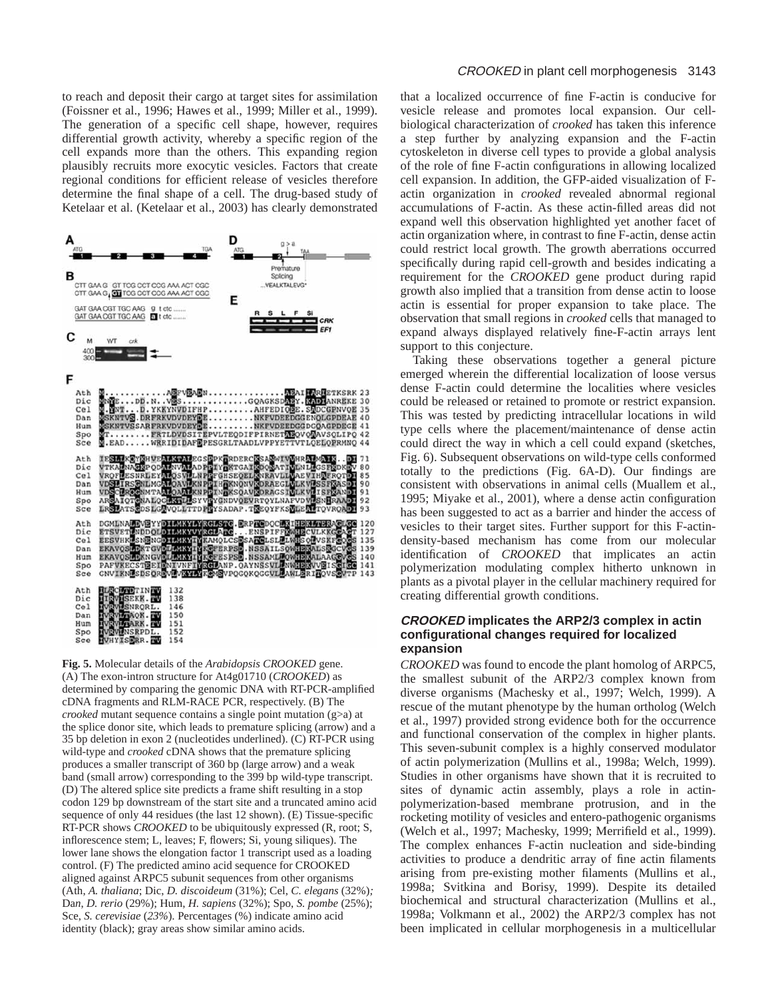to reach and deposit their cargo at target sites for assimilation (Foissner et al., 1996; Hawes et al., 1999; Miller et al., 1999). The generation of a specific cell shape, however, requires differential growth activity, whereby a specific region of the cell expands more than the others. This expanding region plausibly recruits more exocytic vesicles. Factors that create regional conditions for efficient release of vesicles therefore determine the final shape of a cell. The drug-based study of Ketelaar et al. (Ketelaar et al., 2003) has clearly demonstrated



**Fig. 5.** Molecular details of the *Arabidopsis CROOKED* gene. (A) The exon-intron structure for At4g01710 (*CROOKED*) as determined by comparing the genomic DNA with RT-PCR-amplified cDNA fragments and RLM-RACE PCR, respectively. (B) The *crooked* mutant sequence contains a single point mutation (g>a) at the splice donor site, which leads to premature splicing (arrow) and a 35 bp deletion in exon 2 (nucleotides underlined). (C) RT-PCR using wild-type and *crooked* cDNA shows that the premature splicing produces a smaller transcript of 360 bp (large arrow) and a weak band (small arrow) corresponding to the 399 bp wild-type transcript. (D) The altered splice site predicts a frame shift resulting in a stop codon 129 bp downstream of the start site and a truncated amino acid sequence of only 44 residues (the last 12 shown). (E) Tissue-specific RT-PCR shows *CROOKED* to be ubiquitously expressed (R, root; S, inflorescence stem; L, leaves; F, flowers; Si, young siliques). The lower lane shows the elongation factor 1 transcript used as a loading control. (F) The predicted amino acid sequence for CROOKED aligned against ARPC5 subunit sequences from other organisms (Ath, *A. thaliana*; Dic, *D. discoideum* (31%); Cel, *C. elegans* (32%)*;* Da*n*, *D. rerio* (29%); Hum, *H. sapiens* (32%); Spo, *S. pombe* (25%); Sce, *S. cerevisiae* (*23%*). Percentages (%) indicate amino acid identity (black); gray areas show similar amino acids.

that a localized occurrence of fine F-actin is conducive for vesicle release and promotes local expansion. Our cellbiological characterization of *crooked* has taken this inference a step further by analyzing expansion and the F-actin cytoskeleton in diverse cell types to provide a global analysis of the role of fine F-actin configurations in allowing localized cell expansion. In addition, the GFP-aided visualization of Factin organization in *crooked* revealed abnormal regional accumulations of F-actin. As these actin-filled areas did not expand well this observation highlighted yet another facet of actin organization where, in contrast to fine F-actin, dense actin could restrict local growth. The growth aberrations occurred specifically during rapid cell-growth and besides indicating a requirement for the *CROOKED* gene product during rapid growth also implied that a transition from dense actin to loose actin is essential for proper expansion to take place. The observation that small regions in *crooked* cells that managed to expand always displayed relatively fine-F-actin arrays lent support to this conjecture.

Taking these observations together a general picture emerged wherein the differential localization of loose versus dense F-actin could determine the localities where vesicles could be released or retained to promote or restrict expansion. This was tested by predicting intracellular locations in wild type cells where the placement/maintenance of dense actin could direct the way in which a cell could expand (sketches, Fig. 6). Subsequent observations on wild-type cells conformed totally to the predictions (Fig. 6A-D). Our findings are consistent with observations in animal cells (Muallem et al., 1995; Miyake et al., 2001), where a dense actin configuration has been suggested to act as a barrier and hinder the access of vesicles to their target sites. Further support for this F-actindensity-based mechanism has come from our molecular identification of *CROOKED* that implicates an actin polymerization modulating complex hitherto unknown in plants as a pivotal player in the cellular machinery required for creating differential growth conditions.

# **CROOKED implicates the ARP2/3 complex in actin configurational changes required for localized expansion**

*CROOKED* was found to encode the plant homolog of ARPC5, the smallest subunit of the ARP2/3 complex known from diverse organisms (Machesky et al., 1997; Welch, 1999). A rescue of the mutant phenotype by the human ortholog (Welch et al., 1997) provided strong evidence both for the occurrence and functional conservation of the complex in higher plants. This seven-subunit complex is a highly conserved modulator of actin polymerization (Mullins et al., 1998a; Welch, 1999). Studies in other organisms have shown that it is recruited to sites of dynamic actin assembly, plays a role in actinpolymerization-based membrane protrusion, and in the rocketing motility of vesicles and entero-pathogenic organisms (Welch et al., 1997; Machesky, 1999; Merrifield et al., 1999). The complex enhances F-actin nucleation and side-binding activities to produce a dendritic array of fine actin filaments arising from pre-existing mother filaments (Mullins et al., 1998a; Svitkina and Borisy, 1999). Despite its detailed biochemical and structural characterization (Mullins et al., 1998a; Volkmann et al., 2002) the ARP2/3 complex has not been implicated in cellular morphogenesis in a multicellular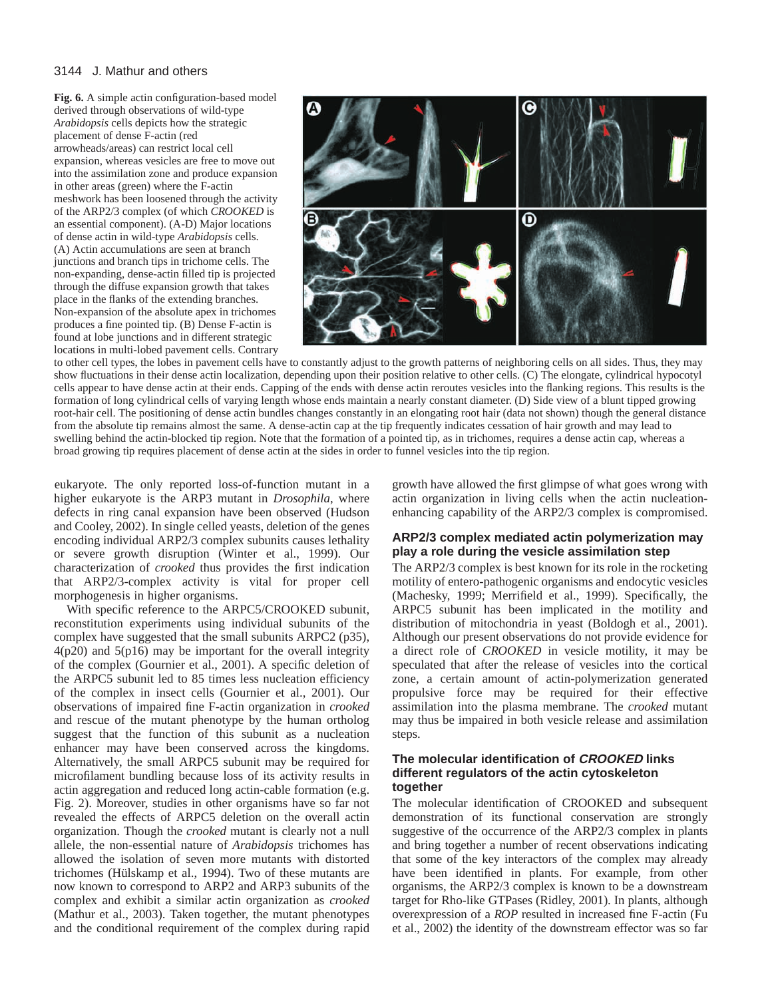**Fig. 6.** A simple actin configuration-based model derived through observations of wild-type *Arabidopsis* cells depicts how the strategic placement of dense F-actin (red arrowheads/areas) can restrict local cell expansion, whereas vesicles are free to move out into the assimilation zone and produce expansion in other areas (green) where the F-actin meshwork has been loosened through the activity of the ARP2/3 complex (of which *CROOKED* is an essential component). (A-D) Major locations of dense actin in wild-type *Arabidopsis* cells. (A) Actin accumulations are seen at branch junctions and branch tips in trichome cells. The non-expanding, dense-actin filled tip is projected through the diffuse expansion growth that takes place in the flanks of the extending branches. Non-expansion of the absolute apex in trichomes produces a fine pointed tip. (B) Dense F-actin is found at lobe junctions and in different strategic locations in multi-lobed pavement cells. Contrary



to other cell types, the lobes in pavement cells have to constantly adjust to the growth patterns of neighboring cells on all sides. Thus, they may show fluctuations in their dense actin localization, depending upon their position relative to other cells. (C) The elongate, cylindrical hypocotyl cells appear to have dense actin at their ends. Capping of the ends with dense actin reroutes vesicles into the flanking regions. This results is the formation of long cylindrical cells of varying length whose ends maintain a nearly constant diameter. (D) Side view of a blunt tipped growing root-hair cell. The positioning of dense actin bundles changes constantly in an elongating root hair (data not shown) though the general distance from the absolute tip remains almost the same. A dense-actin cap at the tip frequently indicates cessation of hair growth and may lead to swelling behind the actin-blocked tip region. Note that the formation of a pointed tip, as in trichomes, requires a dense actin cap, whereas a broad growing tip requires placement of dense actin at the sides in order to funnel vesicles into the tip region.

eukaryote. The only reported loss-of-function mutant in a higher eukaryote is the ARP3 mutant in *Drosophila*, where defects in ring canal expansion have been observed (Hudson and Cooley, 2002). In single celled yeasts, deletion of the genes encoding individual ARP2/3 complex subunits causes lethality or severe growth disruption (Winter et al., 1999). Our characterization of *crooked* thus provides the first indication that ARP2/3-complex activity is vital for proper cell morphogenesis in higher organisms.

With specific reference to the ARPC5/CROOKED subunit, reconstitution experiments using individual subunits of the complex have suggested that the small subunits ARPC2 (p35), 4(p20) and 5(p16) may be important for the overall integrity of the complex (Gournier et al., 2001). A specific deletion of the ARPC5 subunit led to 85 times less nucleation efficiency of the complex in insect cells (Gournier et al., 2001). Our observations of impaired fine F-actin organization in *crooked* and rescue of the mutant phenotype by the human ortholog suggest that the function of this subunit as a nucleation enhancer may have been conserved across the kingdoms. Alternatively, the small ARPC5 subunit may be required for microfilament bundling because loss of its activity results in actin aggregation and reduced long actin-cable formation (e.g. Fig. 2). Moreover, studies in other organisms have so far not revealed the effects of ARPC5 deletion on the overall actin organization. Though the *crooked* mutant is clearly not a null allele, the non-essential nature of *Arabidopsis* trichomes has allowed the isolation of seven more mutants with distorted trichomes (Hülskamp et al., 1994). Two of these mutants are now known to correspond to ARP2 and ARP3 subunits of the complex and exhibit a similar actin organization as *crooked* (Mathur et al., 2003). Taken together, the mutant phenotypes and the conditional requirement of the complex during rapid

growth have allowed the first glimpse of what goes wrong with actin organization in living cells when the actin nucleationenhancing capability of the ARP2/3 complex is compromised.

# **ARP2/3 complex mediated actin polymerization may play a role during the vesicle assimilation step**

The ARP2/3 complex is best known for its role in the rocketing motility of entero-pathogenic organisms and endocytic vesicles (Machesky, 1999; Merrifield et al., 1999). Specifically, the ARPC5 subunit has been implicated in the motility and distribution of mitochondria in yeast (Boldogh et al., 2001). Although our present observations do not provide evidence for a direct role of *CROOKED* in vesicle motility, it may be speculated that after the release of vesicles into the cortical zone, a certain amount of actin-polymerization generated propulsive force may be required for their effective assimilation into the plasma membrane. The *crooked* mutant may thus be impaired in both vesicle release and assimilation steps.

# **The molecular identification of CROOKED links different regulators of the actin cytoskeleton together**

The molecular identification of CROOKED and subsequent demonstration of its functional conservation are strongly suggestive of the occurrence of the ARP2/3 complex in plants and bring together a number of recent observations indicating that some of the key interactors of the complex may already have been identified in plants. For example, from other organisms, the ARP2/3 complex is known to be a downstream target for Rho-like GTPases (Ridley, 2001). In plants, although overexpression of a *ROP* resulted in increased fine F-actin (Fu et al., 2002) the identity of the downstream effector was so far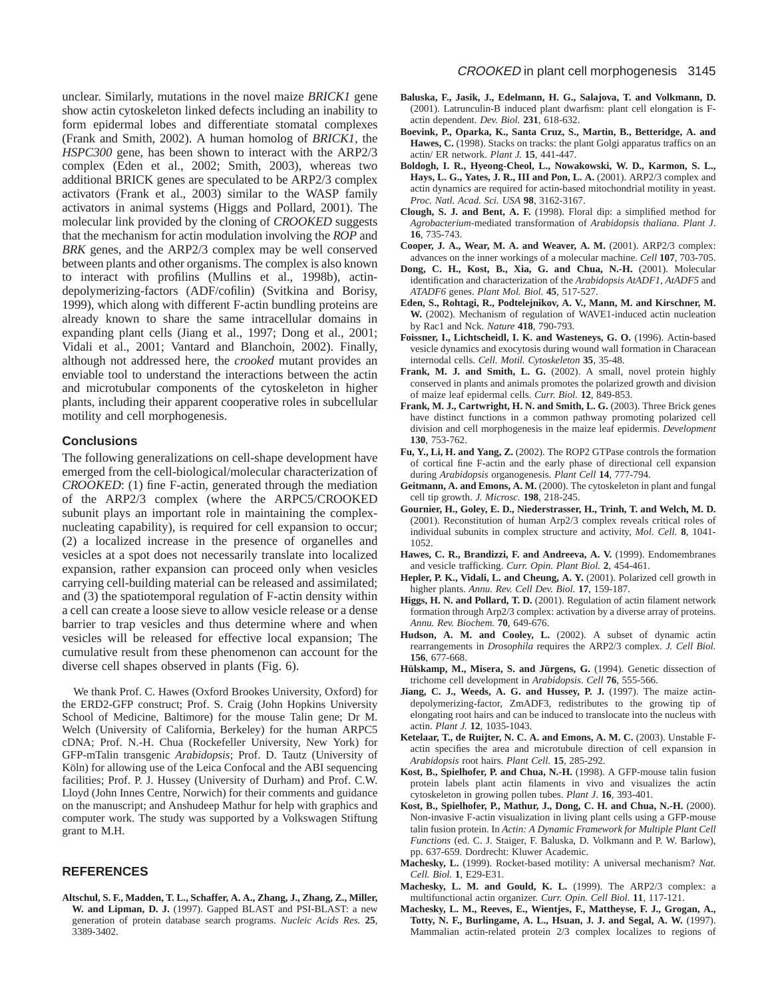unclear. Similarly, mutations in the novel maize *BRICK1* gene show actin cytoskeleton linked defects including an inability to form epidermal lobes and differentiate stomatal complexes (Frank and Smith, 2002). A human homolog of *BRICK1*, the *HSPC300* gene, has been shown to interact with the ARP2/3 complex (Eden et al., 2002; Smith, 2003), whereas two additional BRICK genes are speculated to be ARP2/3 complex activators (Frank et al., 2003) similar to the WASP family activators in animal systems (Higgs and Pollard, 2001). The molecular link provided by the cloning of *CROOKED* suggests that the mechanism for actin modulation involving the *ROP* and *BRK* genes, and the ARP2/3 complex may be well conserved between plants and other organisms. The complex is also known to interact with profilins (Mullins et al., 1998b), actindepolymerizing-factors (ADF/cofilin) (Svitkina and Borisy, 1999), which along with different F-actin bundling proteins are already known to share the same intracellular domains in expanding plant cells (Jiang et al., 1997; Dong et al., 2001; Vidali et al., 2001; Vantard and Blanchoin, 2002). Finally, although not addressed here, the *crooked* mutant provides an enviable tool to understand the interactions between the actin and microtubular components of the cytoskeleton in higher plants, including their apparent cooperative roles in subcellular motility and cell morphogenesis.

#### **Conclusions**

The following generalizations on cell-shape development have emerged from the cell-biological/molecular characterization of *CROOKED*: (1) fine F-actin, generated through the mediation of the ARP2/3 complex (where the ARPC5/CROOKED subunit plays an important role in maintaining the complexnucleating capability), is required for cell expansion to occur; (2) a localized increase in the presence of organelles and vesicles at a spot does not necessarily translate into localized expansion, rather expansion can proceed only when vesicles carrying cell-building material can be released and assimilated; and (3) the spatiotemporal regulation of F-actin density within a cell can create a loose sieve to allow vesicle release or a dense barrier to trap vesicles and thus determine where and when vesicles will be released for effective local expansion; The cumulative result from these phenomenon can account for the diverse cell shapes observed in plants (Fig. 6).

We thank Prof. C. Hawes (Oxford Brookes University, Oxford) for the ERD2-GFP construct; Prof. S. Craig (John Hopkins University School of Medicine, Baltimore) for the mouse Talin gene; Dr M. Welch (University of California, Berkeley) for the human ARPC5 cDNA; Prof. N.-H. Chua (Rockefeller University, New York) for GFP-mTalin transgenic *Arabidopsis*; Prof. D. Tautz (University of Köln) for allowing use of the Leica Confocal and the ABI sequencing facilities; Prof. P. J. Hussey (University of Durham) and Prof. C.W. Lloyd (John Innes Centre, Norwich) for their comments and guidance on the manuscript; and Anshudeep Mathur for help with graphics and computer work. The study was supported by a Volkswagen Stiftung grant to M.H.

generation of protein database search programs. *Nucleic Acids Res.* **25**,

### **REFERENCES**

3389-3402.

- **Baluska, F., Jasik, J., Edelmann, H. G., Salajova, T. and Volkmann, D.** (2001). Latrunculin-B induced plant dwarfism: plant cell elongation is Factin dependent. *Dev. Biol.* **231**, 618-632.
- **Boevink, P., Oparka, K., Santa Cruz, S., Martin, B., Betteridge, A. and** Hawes, C. (1998). Stacks on tracks: the plant Golgi apparatus traffics on an actin/ ER network. *Plant J.* **15**, 441-447.
- **Boldogh, I. R., Hyeong-Cheol, L., Nowakowski, W. D., Karmon, S. L., Hays, L. G., Yates, J. R., III and Pon, L. A.** (2001). ARP2/3 complex and actin dynamics are required for actin-based mitochondrial motility in yeast. *Proc. Natl. Acad. Sci. USA* **98**, 3162-3167.
- **Clough, S. J. and Bent, A. F.** (1998). Floral dip: a simplified method for *Agrobacterium*-mediated transformation of *Arabidopsis thaliana*. *Plant J*. **16**, 735-743.
- **Cooper, J. A., Wear, M. A. and Weaver, A. M.** (2001). ARP2/3 complex: advances on the inner workings of a molecular machine. *Cell* **107**, 703-705.
- Dong, C. H., Kost, B., Xia, G. and Chua, N.-H. (2001). Molecular identification and characterization of the *Arabidopsis AtADF1, AtADF5* and *ATADF6* genes. *Plant Mol. Biol.* **45**, 517-527.
- **Eden, S., Rohtagi, R., Podtelejnikov, A. V., Mann, M. and Kirschner, M. W.** (2002). Mechanism of regulation of WAVE1-induced actin nucleation by Rac1 and Nck. *Nature* **418**, 790-793.
- **Foissner, I., Lichtscheidl, I. K. and Wasteneys, G. O.** (1996). Actin-based vesicle dynamics and exocytosis during wound wall formation in Characean internodal cells. *Cell. Motil. Cytoskeleton* **35**, 35-48.
- Frank, M. J. and Smith, L. G. (2002). A small, novel protein highly conserved in plants and animals promotes the polarized growth and division of maize leaf epidermal cells. *Curr. Biol.* **12**, 849-853.
- **Frank, M. J., Cartwright, H. N. and Smith, L. G. (2003).** Three Brick genes have distinct functions in a common pathway promoting polarized cell division and cell morphogenesis in the maize leaf epidermis. *Development* **130**, 753-762.
- **Fu, Y., Li, H. and Yang, Z.** (2002). The ROP2 GTPase controls the formation of cortical fine F-actin and the early phase of directional cell expansion during *Arabidopsis* organogenesis. *Plant Cell* **14**, 777-794.
- Geitmann, A. and Emons, A. M. (2000). The cytoskeleton in plant and fungal cell tip growth. *J. Microsc.* **198**, 218-245.
- **Gournier, H., Goley, E. D., Niederstrasser, H., Trinh, T. and Welch, M. D.** (2001). Reconstitution of human Arp2/3 complex reveals critical roles of individual subunits in complex structure and activity, *Mol. Cell.* **8**, 1041- 1052.
- Hawes, C. R., Brandizzi, F. and Andreeva, A. V. (1999). Endomembranes and vesicle trafficking. *Curr. Opin. Plant Biol.* **2**, 454-461.
- Hepler, P. K., Vidali, L. and Cheung, A. Y. (2001). Polarized cell growth in higher plants. *Annu. Rev. Cell Dev. Biol.* **17**, 159-187.
- **Higgs, H. N. and Pollard, T. D.** (2001). Regulation of actin filament network formation through Arp2/3 complex: activation by a diverse array of proteins. *Annu. Rev. Biochem.* **70**, 649-676.
- **Hudson, A. M. and Cooley, L.** (2002). A subset of dynamic actin rearrangements in *Drosophila* requires the ARP2/3 complex. *J. Cell Biol.* **156**, 677-668.
- **Hülskamp, M., Misera, S. and Jürgens, G.** (1994). Genetic dissection of trichome cell development in *Arabidopsis*. *Cell* **76**, 555-566.
- Jiang, C. J., Weeds, A. G. and Hussey, P. J. (1997). The maize actindepolymerizing-factor, ZmADF3, redistributes to the growing tip of elongating root hairs and can be induced to translocate into the nucleus with actin. *Plant J.* **12**, 1035-1043.
- **Ketelaar, T., de Ruijter, N. C. A. and Emons, A. M. C.** (2003). Unstable Factin specifies the area and microtubule direction of cell expansion in *Arabidopsis* root hairs. *Plant Cell.* **15**, 285-292.
- **Kost, B., Spielhofer, P. and Chua, N.-H.** (1998). A GFP-mouse talin fusion protein labels plant actin filaments in vivo and visualizes the actin cytoskeleton in growing pollen tubes. *Plant J*. **16**, 393-401.
- **Kost, B., Spielhofer, P., Mathur, J., Dong, C. H. and Chua, N.-H.** (2000). Non-invasive F-actin visualization in living plant cells using a GFP-mouse talin fusion protein. In *Actin: A Dynamic Framework for Multiple Plant Cell Functions* (ed. C. J. Staiger, F. Baluska, D. Volkmann and P. W. Barlow), pp. 637-659. Dordrecht: Kluwer Academic.
- **Machesky, L.** (1999). Rocket-based motility: A universal mechanism? *Nat. Cell. Biol.* **1**, E29-E31.
- Machesky, L. M. and Gould, K. L. (1999). The ARP2/3 complex: a multifunctional actin organizer. *Curr. Opin. Cell Biol.* **11**, 117-121.
- **Machesky, L. M., Reeves, E., Wientjes, F., Mattheyse, F. J., Grogan, A., Totty, N. F., Burlingame, A. L., Hsuan, J. J. and Segal, A. W.** (1997). Mammalian actin-related protein 2/3 complex localizes to regions of